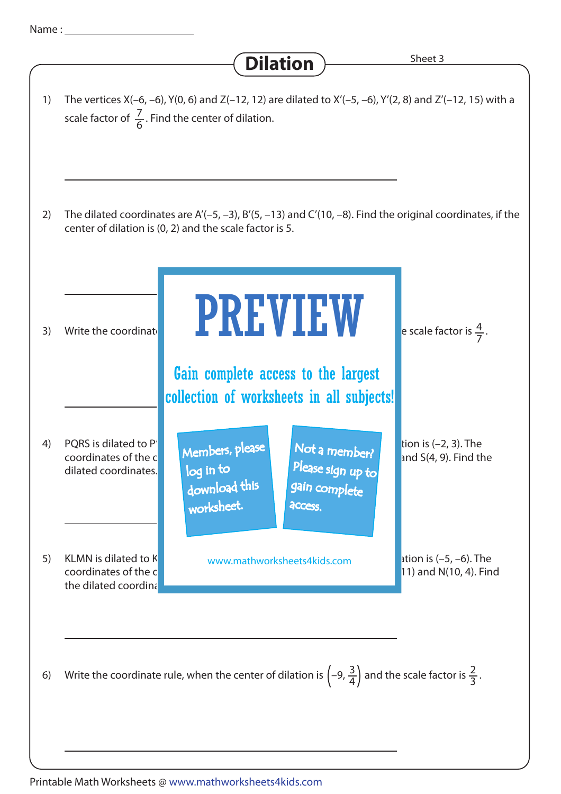Dilation<sup>></sup>>>>>>>>>>>>>>>>>>>>>>>>>+eet 3 7 scale factor of  $\frac{7}{6}$ . Find the center of dilation. The vertices X(-6, -6), Y(0, 6) and Z(-12, 12) are dilated to X'(-5, -6), Y'(2, 8) and Z'(-12, 15) with a 1) The dilated coordinates are A'(–5, –3), B'(5, –13) and C'(10, –8). Find the original coordinates, if the center of dilation is (0, 2) and the scale factor is 5. 2) 3) Write the coordinate **1. All VIII VIII** versale factor is  $\frac{4}{7}$ . e scale factor is  $\frac{4}{7}$ . 4 2 PQRS is dilated to P' $\blacksquare$  Members, please  $\blacksquare$  Not a member  $\blacksquare$  and s(4, 0). Find the contractor of the center of the center of the center of the center of the center of the center of the center of the center of th coordinates of the coordinates of the contract indicates  $\mathbb{R}^2$ ,  $\mathbb{R}^2$ ,  $\mathbb{R}^2$ ,  $\mathbb{R}^2$  and S(4, 9). Find the dilated coordinates. 4) KLMN is dilated to K www.mathworksheets4kids.com **a** stion is  $(-5, -6)$ . The coordinates of the coordinates of the coordinates of the coordinates of the coordinates of the coordinates of the coordinates of the coordinates of the coordinates of the coordinates of the coordinates of the coordinates o the dilated coordina 5) Write the coordinate rule, when the center of dilation is  $\left(-9, \frac{3}{4}\right)$  and the scale factor is  $\frac{2}{3}$  . 3 6) PREVIEW download this worksheet. log in to Not a member? gain complete Please sign up to **access** Gain complete access to the largest collection of worksheets in all subjects!